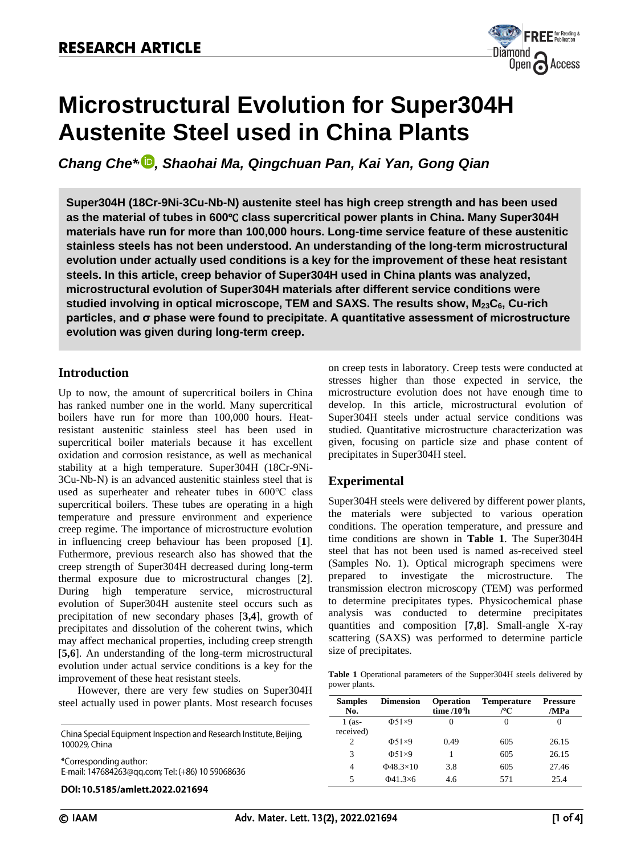

# **Microstructural Evolution for Super304H Austenite Steel used in China Plants**

*Chang Che\* , , Shaohai Ma, Qingchuan Pan, Kai Yan, Gong Qian*

**Super304H (18Cr-9Ni-3Cu-Nb-N) austenite steel has high creep strength and has been used as the material of tubes in 600**℃ **class supercritical power plants in China. Many Super304H materials have run for more than 100,000 hours. Long-time service feature of these austenitic stainless steels has not been understood. An understanding of the long-term microstructural evolution under actually used conditions is a key for the improvement of these heat resistant steels. In this article, creep behavior of Super304H used in China plants was analyzed, microstructural evolution of Super304H materials after different service conditions were studied involving in optical microscope, TEM and SAXS. The results show, M23C6, Cu-rich particles, and σ phase were found to precipitate. A quantitative assessment of microstructure evolution was given during long-term creep.**

## **Introduction**

Up to now, the amount of supercritical boilers in China has ranked number one in the world. Many supercritical boilers have run for more than 100,000 hours. Heatresistant austenitic stainless steel has been used in supercritical boiler materials because it has excellent oxidation and corrosion resistance, as well as mechanical stability at a high temperature. Super304H (18Cr-9Ni-3Cu-Nb-N) is an advanced austenitic stainless steel that is used as superheater and reheater tubes in 600℃ class supercritical boilers. These tubes are operating in a high temperature and pressure environment and experience creep regime. The importance of microstructure evolution in influencing creep behaviour has been proposed [**1**]. Futhermore, previous research also has showed that the creep strength of Super304H decreased during long-term thermal exposure due to microstructural changes [**2**]. During high temperature service, microstructural evolution of Super304H austenite steel occurs such as precipitation of new secondary phases [**3,4**], growth of precipitates and dissolution of the coherent twins, which may affect mechanical properties, including creep strength [**5,6**]. An understanding of the long-term microstructural evolution under actual service conditions is a key for the improvement of these heat resistant steels.

However, there are very few studies on Super304H steel actually used in power plants. Most research focuses

China Special Equipment Inspection and Research Institute, Beijing, 100029, China \*Corresponding author: E-mail: 147684263@qq.com; Tel: (+86) 10 59068636

DOI: 10.5185/amlett.2022.021694

on creep tests in laboratory. Creep tests were conducted at stresses higher than those expected in service, the microstructure evolution does not have enough time to develop. In this article, microstructural evolution of Super304H steels under actual service conditions was studied. Quantitative microstructure characterization was given, focusing on particle size and phase content of precipitates in Super304H steel.

## **Experimental**

Super304H steels were delivered by different power plants, the materials were subjected to various operation conditions. The operation temperature, and pressure and time conditions are shown in **Table 1**. The Super304H steel that has not been used is named as-received steel (Samples No. 1). Optical micrograph specimens were prepared to investigate the microstructure. The transmission electron microscopy (TEM) was performed to determine precipitates types. Physicochemical phase analysis was conducted to determine precipitates quantities and composition [**7,8**]. Small-angle X-ray scattering (SAXS) was performed to determine particle size of precipitates.

|               |  | <b>Table 1</b> Operational parameters of the Supper304H steels delivered by |  |  |
|---------------|--|-----------------------------------------------------------------------------|--|--|
| power plants. |  |                                                                             |  |  |

| <b>Samples</b><br>No. | <b>Dimension</b>       | <b>Operation</b><br>time $/104h$ | <b>Temperature</b><br>/°C | <b>Pressure</b><br>/MPa |
|-----------------------|------------------------|----------------------------------|---------------------------|-------------------------|
| $1$ (as-<br>received) | $\Phi$ 51×9            |                                  | 0                         |                         |
| 2                     | $\Phi$ 51×9            | 0.49                             | 605                       | 26.15                   |
| 3                     | $\Phi$ 51×9            |                                  | 605                       | 26.15                   |
| 4                     | $\Phi$ 48.3×10         | 3.8                              | 605                       | 27.46                   |
| 5                     | $\Phi$ 41.3 $\times$ 6 | 4.6                              | 571                       | 25.4                    |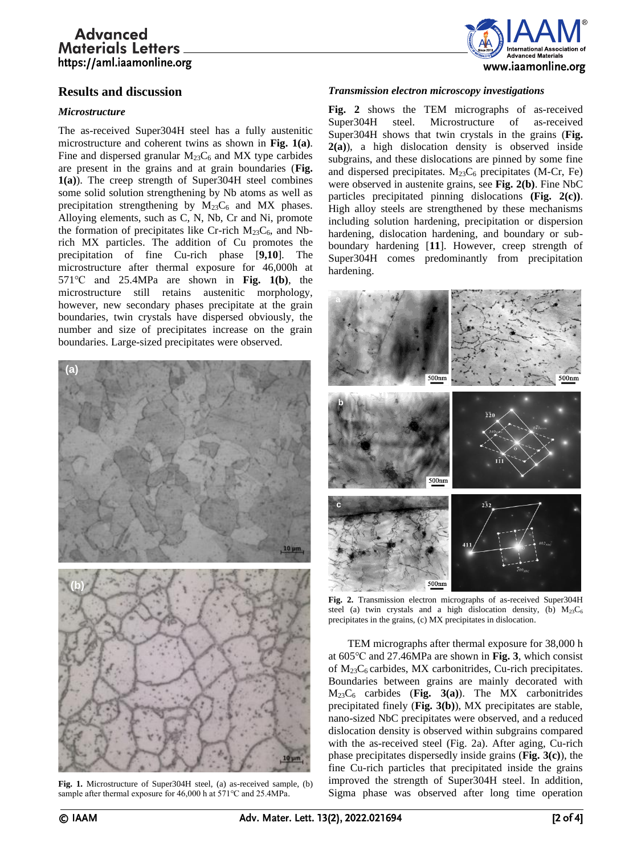# **Advanced Materials Letters** https://aml.iaamonline.org



## **Results and discussion**

## *Microstructure*

The as-received Super304H steel has a fully austenitic microstructure and coherent twins as shown in **Fig. 1(a)**. Fine and dispersed granular  $M_{23}C_6$  and MX type carbides are present in the grains and at grain boundaries (**Fig. 1(a)**). The creep strength of Super304H steel combines some solid solution strengthening by Nb atoms as well as precipitation strengthening by  $M_{23}C_6$  and MX phases. Alloying elements, such as C, N, Nb, Cr and Ni, promote the formation of precipitates like Cr-rich  $M_{23}C_6$ , and Nbrich MX particles. The addition of Cu promotes the precipitation of fine Cu-rich phase [**9,10**]. The microstructure after thermal exposure for 46,000h at 571℃ and 25.4MPa are shown in **Fig. 1(b)**, the microstructure still retains austenitic morphology, however, new secondary phases precipitate at the grain boundaries, twin crystals have dispersed obviously, the number and size of precipitates increase on the grain boundaries. Large-sized precipitates were observed.



**Fig. 1.** Microstructure of Super304H steel, (a) as-received sample, (b) sample after thermal exposure for 46,000 h at 571℃ and 25.4MPa.

## *Transmission electron microscopy investigations*

**Fig. 2** shows the TEM micrographs of as-received Super304H steel. Microstructure of as-received Super304H shows that twin crystals in the grains (**Fig. 2(a)**), a high dislocation density is observed inside subgrains, and these dislocations are pinned by some fine and dispersed precipitates.  $M_{23}C_6$  precipitates (M-Cr, Fe) were observed in austenite grains, see **Fig. 2(b)**. Fine NbC particles precipitated pinning dislocations **(Fig. 2(c))**. High alloy steels are strengthened by these mechanisms including solution hardening, precipitation or dispersion hardening, dislocation hardening, and boundary or subboundary hardening [**11**]. However, creep strength of Super304H comes predominantly from precipitation hardening.



**Fig. 2.** Transmission electron micrographs of as-received Super304H steel (a) twin crystals and a high dislocation density, (b)  $M_{23}C_6$ precipitates in the grains, (c) MX precipitates in dislocation.

TEM micrographs after thermal exposure for 38,000 h at 605℃ and 27.46MPa are shown in **Fig. 3**, which consist of  $M_{23}C_6$  carbides, MX carbonitrides, Cu-rich precipitates. Boundaries between grains are mainly decorated with M23C<sup>6</sup> carbides (**Fig. 3(a)**). The MX carbonitrides precipitated finely (**Fig. 3(b)**), MX precipitates are stable, nano-sized NbC precipitates were observed, and a reduced dislocation density is observed within subgrains compared with the as-received steel (Fig. 2a). After aging, Cu-rich phase precipitates dispersedly inside grains (**Fig. 3(c)**), the fine Cu-rich particles that precipitated inside the grains improved the strength of Super304H steel. In addition, Sigma phase was observed after long time operation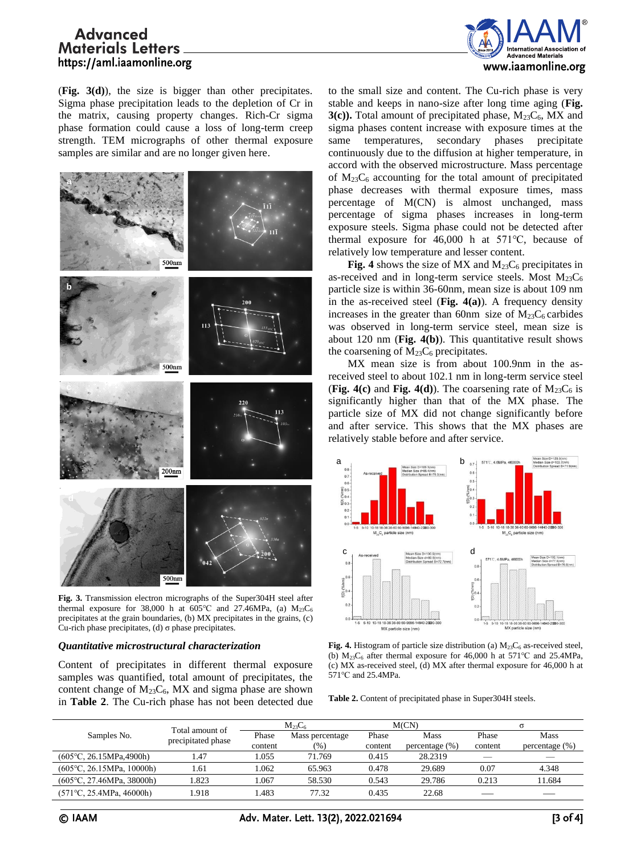# **Advanced Materials Letters** https://aml.iaamonline.org



(**Fig. 3(d)**), the size is bigger than other precipitates. Sigma phase precipitation leads to the depletion of Cr in the matrix, causing property changes. Rich-Cr sigma phase formation could cause a loss of long-term creep strength. TEM micrographs of other thermal exposure samples are similar and are no longer given here.



**Fig. 3.** Transmission electron micrographs of the Super304H steel after thermal exposure for 38,000 h at  $605^{\circ}$ C and 27.46MPa, (a)  $M_{23}C_6$ precipitates at the grain boundaries, (b) MX precipitates in the grains, (c) Cu-rich phase precipitates, (d) σ phase precipitates.

#### *Quantitative microstructural characterization*

Content of precipitates in different thermal exposure samples was quantified, total amount of precipitates, the content change of  $M_{23}C_6$ , MX and sigma phase are shown in **Table 2**. The Cu-rich phase has not been detected due

to the small size and content. The Cu-rich phase is very stable and keeps in nano-size after long time aging (**Fig. 3(c)).** Total amount of precipitated phase,  $M_{23}C_6$ , MX and sigma phases content increase with exposure times at the same temperatures, secondary phases precipitate continuously due to the diffusion at higher temperature, in accord with the observed microstructure. Mass percentage of  $M_{23}C_6$  accounting for the total amount of precipitated phase decreases with thermal exposure times, mass percentage of M(CN) is almost unchanged, mass percentage of sigma phases increases in long-term exposure steels. Sigma phase could not be detected after thermal exposure for 46,000 h at 571℃, because of relatively low temperature and lesser content.

**Fig.** 4 shows the size of MX and  $M_{23}C_6$  precipitates in as-received and in long-term service steels. Most  $M_{23}C_6$ particle size is within 36-60nm, mean size is about 109 nm in the as-received steel (**Fig. 4(a)**). A frequency density increases in the greater than 60nm size of  $M_{23}C_6$  carbides was observed in long-term service steel, mean size is about 120 nm (**Fig. 4(b)**). This quantitative result shows the coarsening of  $M_{23}C_6$  precipitates.

MX mean size is from about 100.9nm in the asreceived steel to about 102.1 nm in long-term service steel (**Fig. 4(c)** and **Fig. 4(d)**). The coarsening rate of  $M_{23}C_6$  is significantly higher than that of the MX phase. The particle size of MX did not change significantly before and after service. This shows that the MX phases are relatively stable before and after service.



**Fig. 4.** Histogram of particle size distribution (a)  $M_{23}C_6$  as-received steel, (b)  $M_{23}C_6$  after thermal exposure for 46,000 h at 571°C and 25.4MPa, (c) MX as-received steel, (d) MX after thermal exposure for 46,000 h at 571℃ and 25.4MPa.

**Table 2.** Content of precipitated phase in Super304H steels.

|                                    | Total amount of<br>precipitated phase | $M_{23}C_6$ |                 | M(CN)   |                    | σ       |                   |
|------------------------------------|---------------------------------------|-------------|-----------------|---------|--------------------|---------|-------------------|
| Samples No.                        |                                       | Phase       | Mass percentage | Phase   | Mass               | Phase   | Mass              |
|                                    |                                       | content     | $(\%)$          | content | percentage $(\% )$ | content | percentage $(\%)$ |
| $(605^{\circ}C, 26.15MPa, 4900h)$  | .47                                   | .055        | 71.769          | 0.415   | 28.2319            | _       | _                 |
| $(605^{\circ}C, 26.15MPa, 10000h)$ | l.61                                  | .062        | 65.963          | 0.478   | 29.689             | 0.07    | 4.348             |
| $(605^{\circ}C, 27.46MPa, 38000h)$ | .823                                  | .067        | 58.530          | 0.543   | 29.786             | 0.213   | 1.684             |
| $(571^{\circ}C, 25.4MPa, 46000h)$  | 1.918                                 | .483        | 77.32           | 0.435   | 22.68              |         |                   |